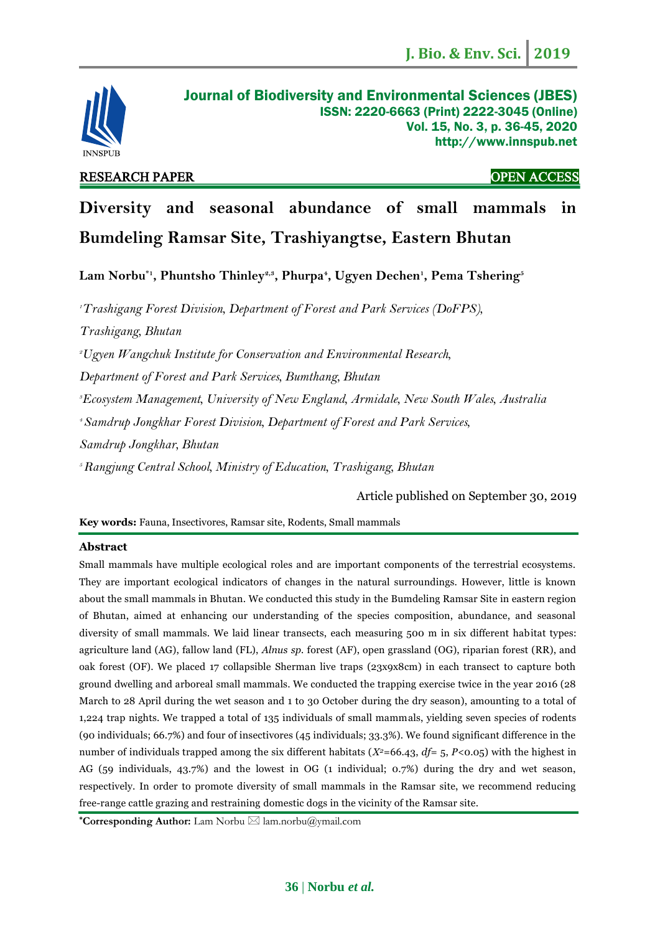

# RESEARCH PAPER OPEN ACCESS

# **Diversity and seasonal abundance of small mammals in Bumdeling Ramsar Site, Trashiyangtse, Eastern Bhutan**

**Lam Norbu\*1 , Phuntsho Thinley2,3, Phurpa<sup>4</sup> , Ugyen Dechen<sup>1</sup> , Pema Tshering<sup>5</sup>**

*Trashigang Forest Division, Department of Forest and Park Services (DoFPS), Trashigang, Bhutan Ugyen Wangchuk Institute for Conservation and Environmental Research, Department of Forest and Park Services, Bumthang, Bhutan Ecosystem Management, University of New England, Armidale, New South Wales, Australia Samdrup Jongkhar Forest Division, Department of Forest and Park Services, Samdrup Jongkhar, Bhutan Rangjung Central School, Ministry of Education, Trashigang, Bhutan*

Article published on September 30, 2019

**Key words:** Fauna, Insectivores, Ramsar site, Rodents, Small mammals

# **Abstract**

Small mammals have multiple ecological roles and are important components of the terrestrial ecosystems. They are important ecological indicators of changes in the natural surroundings. However, little is known about the small mammals in Bhutan. We conducted this study in the Bumdeling Ramsar Site in eastern region of Bhutan, aimed at enhancing our understanding of the species composition, abundance, and seasonal diversity of small mammals. We laid linear transects, each measuring 500 m in six different habitat types: agriculture land (AG), fallow land (FL), *Alnus sp.* forest (AF), open grassland (OG), riparian forest (RR), and oak forest (OF). We placed 17 collapsible Sherman live traps (23x9x8cm) in each transect to capture both ground dwelling and arboreal small mammals. We conducted the trapping exercise twice in the year 2016 (28 March to 28 April during the wet season and 1 to 30 October during the dry season), amounting to a total of 1,224 trap nights. We trapped a total of 135 individuals of small mammals, yielding seven species of rodents (90 individuals; 66.7%) and four of insectivores (45 individuals; 33.3%). We found significant difference in the number of individuals trapped among the six different habitats (*X<sup>2</sup>*=66.43, *df*= 5, *P<*0.05) with the highest in AG (59 individuals, 43.7%) and the lowest in OG (1 individual; 0.7%) during the dry and wet season, respectively. In order to promote diversity of small mammals in the Ramsar site, we recommend reducing free-range cattle grazing and restraining domestic dogs in the vicinity of the Ramsar site.

**\*Corresponding Author:** Lam Norbu [lam.norbu@ymail.com](mailto:lam.norbu@ymail.com)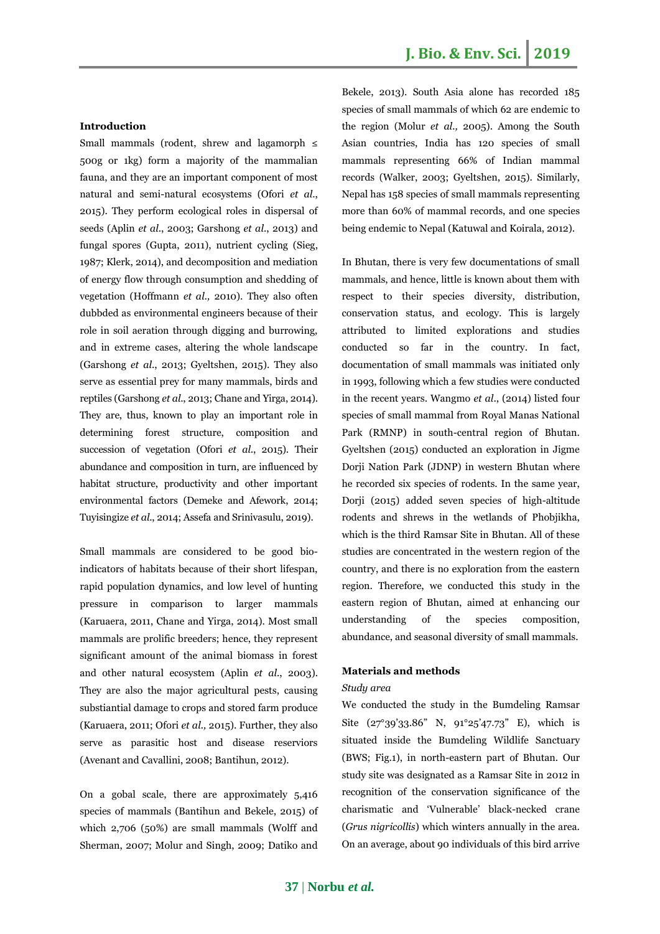# **Introduction**

Small mammals (rodent, shrew and lagamorph  $\leq$ 500g or 1kg) form a majority of the mammalian fauna, and they are an important component of most natural and semi-natural ecosystems (Ofori *et al*., 2015). They perform ecological roles in dispersal of seeds (Aplin *et al*., 2003; Garshong *et al*., 2013) and fungal spores (Gupta, 2011), nutrient cycling (Sieg, 1987; Klerk, 2014), and decomposition and mediation of energy flow through consumption and shedding of vegetation (Hoffmann *et al.,* 2010). They also often dubbded as environmental engineers because of their role in soil aeration through digging and burrowing, and in extreme cases, altering the whole landscape (Garshong *et al*., 2013; Gyeltshen, 2015). They also serve as essential prey for many mammals, birds and reptiles (Garshong *et al*., 2013; Chane and Yirga, 2014). They are, thus, known to play an important role in determining forest structure, composition and succession of vegetation (Ofori *et al*., 2015). Their abundance and composition in turn, are influenced by habitat structure, productivity and other important environmental factors (Demeke and Afework, 2014; Tuyisingize *et al*., 2014; Assefa and Srinivasulu, 2019).

Small mammals are considered to be good bioindicators of habitats because of their short lifespan, rapid population dynamics, and low level of hunting pressure in comparison to larger mammals (Karuaera, 2011, Chane and Yirga, 2014). Most small mammals are prolific breeders; hence, they represent significant amount of the animal biomass in forest and other natural ecosystem (Aplin *et al*., 2003). They are also the major agricultural pests, causing substiantial damage to crops and stored farm produce (Karuaera, 2011; Ofori *et al.,* 2015). Further, they also serve as parasitic host and disease reserviors (Avenant and Cavallini, 2008; Bantihun, 2012).

On a gobal scale, there are approximately 5,416 species of mammals (Bantihun and Bekele, 2015) of which 2,706 (50%) are small mammals (Wolff and Sherman, 2007; Molur and Singh, 2009; Datiko and Bekele, 2013). South Asia alone has recorded 185 species of small mammals of which 62 are endemic to the region (Molur *et al.,* 2005). Among the South Asian countries, India has 120 species of small mammals representing 66% of Indian mammal records (Walker, 2003; Gyeltshen, 2015). Similarly, Nepal has 158 species of small mammals representing more than 60% of mammal records, and one species being endemic to Nepal (Katuwal and Koirala, 2012).

In Bhutan, there is very few documentations of small mammals, and hence, little is known about them with respect to their species diversity, distribution, conservation status, and ecology. This is largely attributed to limited explorations and studies conducted so far in the country. In fact, documentation of small mammals was initiated only in 1993, following which a few studies were conducted in the recent years. Wangmo *et al*., (2014) listed four species of small mammal from Royal Manas National Park (RMNP) in south-central region of Bhutan. Gyeltshen (2015) conducted an exploration in Jigme Dorji Nation Park (JDNP) in western Bhutan where he recorded six species of rodents. In the same year, Dorji (2015) added seven species of high-altitude rodents and shrews in the wetlands of Phobjikha, which is the third Ramsar Site in Bhutan. All of these studies are concentrated in the western region of the country, and there is no exploration from the eastern region. Therefore, we conducted this study in the eastern region of Bhutan, aimed at enhancing our understanding of the species composition, abundance, and seasonal diversity of small mammals.

#### **Materials and methods**

#### *Study area*

We conducted the study in the Bumdeling Ramsar Site (27°39'33.86" N, 91°25'47.73" E), which is situated inside the Bumdeling Wildlife Sanctuary (BWS; Fig.1), in north-eastern part of Bhutan. Our study site was designated as a Ramsar Site in 2012 in recognition of the conservation significance of the charismatic and 'Vulnerable' black-necked crane (*Grus nigricollis*) which winters annually in the area. On an average, about 90 individuals of this bird arrive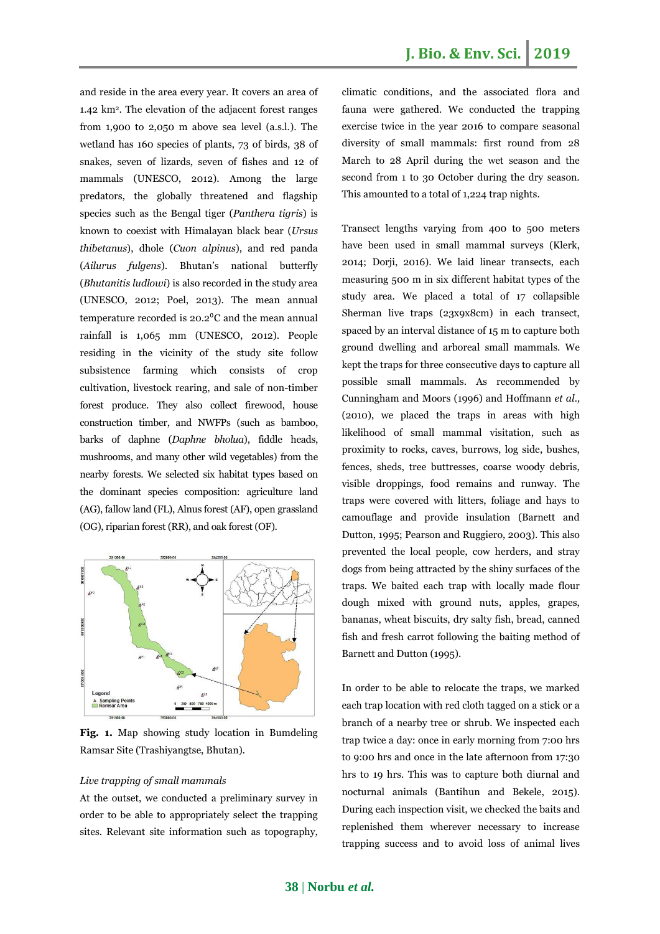and reside in the area every year. It covers an area of 1.42 km<sup>2</sup> . The elevation of the adjacent forest ranges from 1,900 to 2,050 m above sea level (a.s.l.). The wetland has 160 species of plants, 73 of birds, 38 of snakes, seven of lizards, seven of fishes and 12 of mammals (UNESCO, 2012). Among the large predators, the globally threatened and flagship species such as the Bengal tiger (*Panthera tigris*) is known to coexist with Himalayan black bear (*Ursus thibetanus*), dhole (*Cuon alpinus*), and red panda (*Ailurus fulgens*). Bhutan's national butterfly (*Bhutanitis ludlowi*) is also recorded in the study area (UNESCO, 2012; Poel, 2013). The mean annual temperature recorded is  $20.2$ <sup>o</sup>C and the mean annual rainfall is 1,065 mm (UNESCO, 2012). People residing in the vicinity of the study site follow subsistence farming which consists of crop cultivation, livestock rearing, and sale of non-timber forest produce. They also collect firewood, house construction timber, and NWFPs (such as bamboo, barks of daphne (*Daphne bholua*), fiddle heads, mushrooms, and many other wild vegetables) from the nearby forests. We selected six habitat types based on the dominant species composition: agriculture land (AG), fallow land (FL), Alnus forest (AF), open grassland (OG), riparian forest (RR), and oak forest (OF).



**Fig. 1.** Map showing study location in Bumdeling Ramsar Site (Trashiyangtse, Bhutan).

## *Live trapping of small mammals*

At the outset, we conducted a preliminary survey in order to be able to appropriately select the trapping sites. Relevant site information such as topography, climatic conditions, and the associated flora and fauna were gathered. We conducted the trapping exercise twice in the year 2016 to compare seasonal diversity of small mammals: first round from 28 March to 28 April during the wet season and the second from 1 to 30 October during the dry season. This amounted to a total of 1,224 trap nights.

Transect lengths varying from 400 to 500 meters have been used in small mammal surveys (Klerk, 2014; Dorji, 2016). We laid linear transects, each measuring 500 m in six different habitat types of the study area. We placed a total of 17 collapsible Sherman live traps (23x9x8cm) in each transect, spaced by an interval distance of 15 m to capture both ground dwelling and arboreal small mammals. We kept the traps for three consecutive days to capture all possible small mammals. As recommended by Cunningham and Moors (1996) and Hoffmann *et al.,* (2010), we placed the traps in areas with high likelihood of small mammal visitation, such as proximity to rocks, caves, burrows, log side, bushes, fences, sheds, tree buttresses, coarse woody debris, visible droppings, food remains and runway. The traps were covered with litters, foliage and hays to camouflage and provide insulation (Barnett and Dutton, 1995; Pearson and Ruggiero, 2003). This also prevented the local people, cow herders, and stray dogs from being attracted by the shiny surfaces of the traps. We baited each trap with locally made flour dough mixed with ground nuts, apples, grapes, bananas, wheat biscuits, dry salty fish, bread, canned fish and fresh carrot following the baiting method of Barnett and Dutton (1995).

In order to be able to relocate the traps, we marked each trap location with red cloth tagged on a stick or a branch of a nearby tree or shrub. We inspected each trap twice a day: once in early morning from 7:00 hrs to 9:00 hrs and once in the late afternoon from 17:30 hrs to 19 hrs. This was to capture both diurnal and nocturnal animals (Bantihun and Bekele, 2015). During each inspection visit, we checked the baits and replenished them wherever necessary to increase trapping success and to avoid loss of animal lives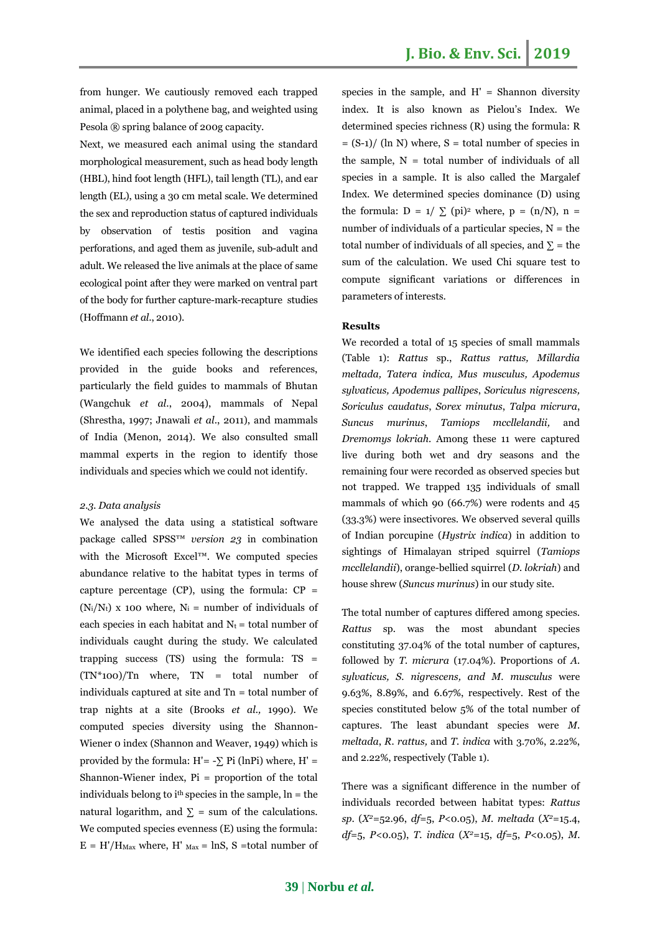from hunger. We cautiously removed each trapped animal, placed in a polythene bag, and weighted using Pesola ® spring balance of 200g capacity.

Next, we measured each animal using the standard morphological measurement, such as head body length (HBL), hind foot length (HFL), tail length (TL), and ear length (EL), using a 30 cm metal scale. We determined the sex and reproduction status of captured individuals by observation of testis position and vagina perforations, and aged them as juvenile, sub-adult and adult. We released the live animals at the place of same ecological point after they were marked on ventral part of the body for further capture-mark-recapture studies (Hoffmann *et al*., 2010).

We identified each species following the descriptions provided in the guide books and references, particularly the field guides to mammals of Bhutan (Wangchuk *et al*., 2004), mammals of Nepal (Shrestha, 1997; Jnawali *et al*., 2011), and mammals of India (Menon, 2014). We also consulted small mammal experts in the region to identify those individuals and species which we could not identify.

#### *2.3. Data analysis*

We analysed the data using a statistical software package called SPSS™ *version 23* in combination with the Microsoft Excel™. We computed species abundance relative to the habitat types in terms of capture percentage (CP), using the formula:  $CP =$  $(N_i/N_t)$  x 100 where,  $N_i$  = number of individuals of each species in each habitat and  $N_t =$  total number of individuals caught during the study. We calculated trapping success (TS) using the formula: TS =  $(TN*100)/Tn$  where,  $TN = total$  number of individuals captured at site and Tn = total number of trap nights at a site (Brooks *et al.,* 1990). We computed species diversity using the Shannon-Wiener 0 index (Shannon and Weaver, 1949) which is provided by the formula:  $H' = -\sum P_i$  (lnPi) where,  $H' =$ Shannon-Wiener index, Pi = proportion of the total individuals belong to  $i<sup>th</sup>$  species in the sample,  $\ln =$  the natural logarithm, and  $\Sigma$  = sum of the calculations. We computed species evenness (E) using the formula:  $E = H'/H_{\text{Max}}$  where,  $H'$   $_{\text{Max}} =$  lnS, S =total number of species in the sample, and  $H' =$  Shannon diversity index. It is also known as Pielou's Index. We determined species richness (R) using the formula: R  $=$  (S-1)/ (ln N) where, S = total number of species in the sample,  $N =$  total number of individuals of all species in a sample. It is also called the Margalef Index. We determined species dominance (D) using the formula:  $D = 1/\sum$  (pi)<sup>2</sup> where,  $p = (n/N)$ ,  $n =$ number of individuals of a particular species,  $N =$  the total number of individuals of all species, and  $\Sigma$  = the sum of the calculation. We used Chi square test to compute significant variations or differences in parameters of interests.

#### **Results**

We recorded a total of 15 species of small mammals (Table 1): *Rattus* sp*.*, *Rattus rattus, Millardia meltada, Tatera indica, Mus musculus, Apodemus sylvaticus, Apodemus pallipes*, *Soriculus nigrescens, Soriculus caudatus*, *Sorex minutus*, *Talpa micrura*, *Suncus murinus*, *Tamiops mccllelandii,* and *Dremomys lokriah.* Among these 11 were captured live during both wet and dry seasons and the remaining four were recorded as observed species but not trapped. We trapped 135 individuals of small mammals of which 90 (66.7%) were rodents and 45 (33.3%) were insectivores. We observed several quills of Indian porcupine (*Hystrix indica*) in addition to sightings of Himalayan striped squirrel (*Tamiops mccllelandii*), orange-bellied squirrel (*D. lokriah*) and house shrew (*Suncus murinus*) in our study site.

The total number of captures differed among species. *Rattus* sp*.* was the most abundant species constituting 37.04% of the total number of captures, followed by *T. micrura* (17.04%). Proportions of *A. sylvaticus, S. nigrescens, and M. musculus* were 9.63%, 8.89%, and 6.67%, respectively. Rest of the species constituted below 5% of the total number of captures. The least abundant species were *M. meltada*, *R. rattus,* and *T. indica* with 3.70%, 2.22%, and 2.22%, respectively (Table 1).

There was a significant difference in the number of individuals recorded between habitat types: *Rattus sp*. (*X<sup>2</sup>*=52.96, *df*=5, *P*<0.05), *M. meltada* (*X<sup>2</sup>*=15.4, *df*=5, *P*<0.05), *T. indica* (*X<sup>2</sup>*=15, *df*=5, *P*<0.05), *M.*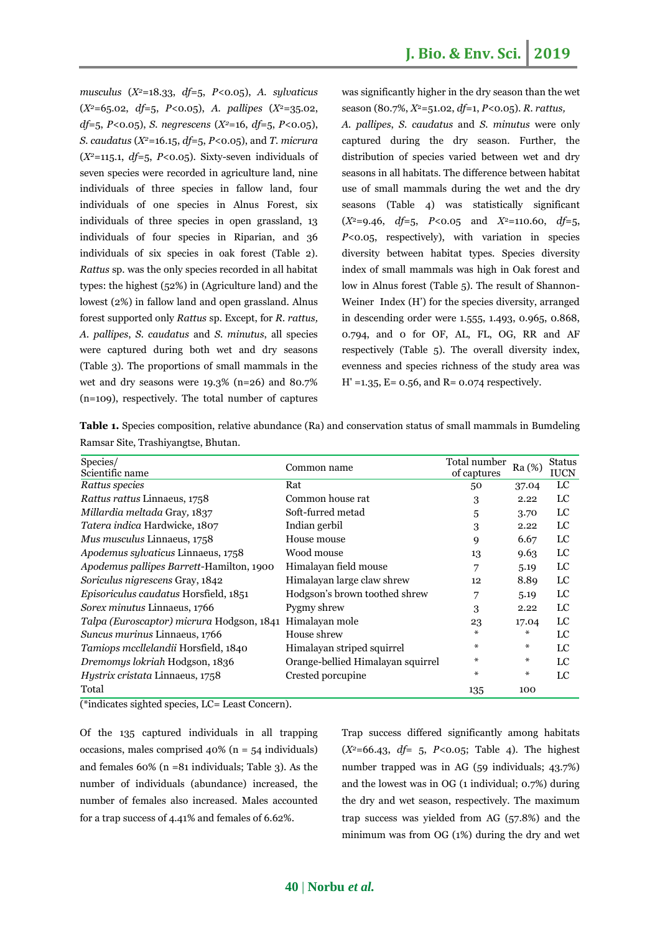*musculus* (*X<sup>2</sup>*=18.33, *df*=5, *P*<0.05), *A. sylvaticus* (*X<sup>2</sup>*=65.02, *df*=5, *P*<0.05), *A. pallipes* (*X*<sup>2</sup>=35.02, *df*=5, *P*<0.05), *S. negrescens* (*X<sup>2</sup>*=16, *df*=5, *P*<0.05), *S. caudatus* (*X<sup>2</sup>*=16.15, *df*=5, *P*<0.05), and *T. micrura* (*X<sup>2</sup>*=115.1, *df*=5, *P*<0.05). Sixty-seven individuals of seven species were recorded in agriculture land, nine individuals of three species in fallow land, four individuals of one species in Alnus Forest, six individuals of three species in open grassland, 13 individuals of four species in Riparian, and 36 individuals of six species in oak forest (Table 2). *Rattus* sp. was the only species recorded in all habitat types: the highest (52%) in (Agriculture land) and the lowest (2%) in fallow land and open grassland. Alnus forest supported only *Rattus* sp*.* Except, for *R. rattus, A. pallipes*, *S. caudatus* and *S. minutus*, all species were captured during both wet and dry seasons (Table 3). The proportions of small mammals in the wet and dry seasons were 19.3% (n=26) and 80.7% (n=109), respectively. The total number of captures

was significantly higher in the dry season than the wet season (80.7%, *X*<sup>2</sup>=51.02, *df*=1, *P<*0.05). *R. rattus,*

*A. pallipes*, *S. caudatus* and *S. minutus* were only captured during the dry season. Further, the distribution of species varied between wet and dry seasons in all habitats. The difference between habitat use of small mammals during the wet and the dry seasons (Table 4) was statistically significant  $(X^2=9.46, df=5, P<0.05$  and  $X^2=110.60, df=5$ , *P*<0.05, respectively), with variation in species diversity between habitat types. Species diversity index of small mammals was high in Oak forest and low in Alnus forest (Table 5). The result of Shannon-Weiner Index (H') for the species diversity, arranged in descending order were 1.555, 1.493, 0.965, 0.868, 0.794, and 0 for OF, AL, FL, OG, RR and AF respectively (Table 5). The overall diversity index, evenness and species richness of the study area was  $H' = 1.35$ ,  $E = 0.56$ , and  $R = 0.074$  respectively.

| Kamsar Site, Trasniyangtse, Bhutan.       |                                   |                             |        |                              |
|-------------------------------------------|-----------------------------------|-----------------------------|--------|------------------------------|
| Species/<br>Scientific name               | Common name                       | Total number<br>of captures | Ra (%) | <b>Status</b><br><b>IUCN</b> |
| Rattus species                            | Rat                               | 50                          | 37.04  | LC                           |
| Rattus rattus Linnaeus, 1758              | Common house rat                  | 3                           | 2.22   | LC                           |
| Millardia meltada Gray, 1837              | Soft-furred metad                 | 5                           | 3.70   | LC                           |
| Tatera indica Hardwicke, 1807             | Indian gerbil                     | 3                           | 2.22   | LC                           |
| Mus musculus Linnaeus, 1758               | House mouse                       | 9                           | 6.67   | LC                           |
| <i>Apodemus sylvaticus Linnaeus, 1758</i> | Wood mouse                        | 13                          | 9.63   | LC                           |
| Apodemus pallipes Barrett-Hamilton, 1900  | Himalayan field mouse             | 7                           | 5.19   | LC                           |
| Soriculus nigrescens Gray, 1842           | Himalayan large claw shrew        | 12                          | 8.89   | LC                           |
| Episoriculus caudatus Horsfield, 1851     | Hodgson's brown toothed shrew     | 7                           | 5.19   | LC                           |
| Sorex minutus Linnaeus, 1766              | Pygmy shrew                       | 3                           | 2.22   | LC                           |
| Talpa (Euroscaptor) micrura Hodgson, 1841 | Himalayan mole                    | 23                          | 17.04  | LC                           |
| Suncus murinus Linnaeus, 1766             | House shrew                       | ⋇                           | ⋇      | LC                           |
| Tamiops mccllelandii Horsfield, 1840      | Himalayan striped squirrel        | ∗                           | ⋇      | LC                           |
| Dremomys lokriah Hodgson, 1836            | Orange-bellied Himalayan squirrel | ∗                           | ∗      | LC                           |
| Hystrix cristata Linnaeus, 1758           | Crested porcupine                 | ⋇                           | *      | LC                           |
| Total                                     |                                   | 135                         | 100    |                              |

**Table 1.** Species composition, relative abundance (Ra) and conservation status of small mammals in Bumdeling Ramsar Site, Trashiyangtse, Bhutan.

(\*indicates sighted species, LC= Least Concern).

Of the 135 captured individuals in all trapping occasions, males comprised 40% (n = 54 individuals) and females 60% (n =81 individuals; Table 3). As the number of individuals (abundance) increased, the number of females also increased. Males accounted for a trap success of 4.41% and females of 6.62%.

Trap success differed significantly among habitats (*X<sup>2</sup>*=66.43, *df*= 5, *P<*0.05; Table 4). The highest number trapped was in AG (59 individuals; 43.7%) and the lowest was in OG (1 individual; 0.7%) during the dry and wet season, respectively. The maximum trap success was yielded from AG (57.8%) and the minimum was from OG (1%) during the dry and wet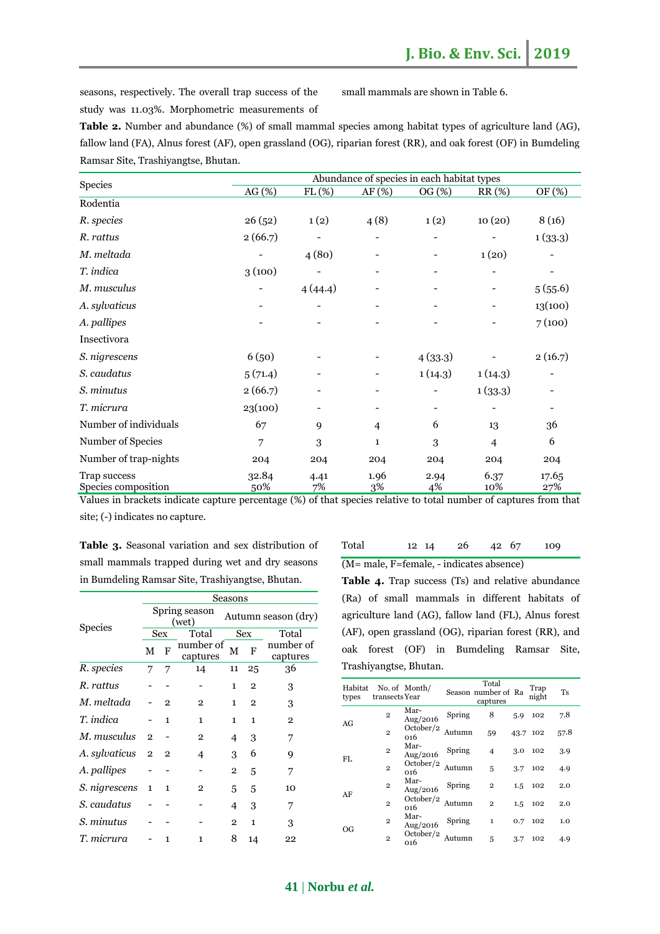seasons, respectively. The overall trap success of the study was 11.03%. Morphometric measurements of small mammals are shown in Table 6.

| <b>Table 2.</b> Number and abundance (%) of small mammal species among habitat types of agriculture land (AG),   |
|------------------------------------------------------------------------------------------------------------------|
| fallow land (FA), Alnus forest (AF), open grassland (OG), riparian forest (RR), and oak forest (OF) in Bumdeling |
| Ramsar Site. Trashivangtse. Bhutan.                                                                              |

|                                     | Abundance of species in each habitat types |            |                              |            |                |                          |  |  |  |
|-------------------------------------|--------------------------------------------|------------|------------------------------|------------|----------------|--------------------------|--|--|--|
| <b>Species</b>                      | AG (%)                                     | FL(%)      | AF (%)                       | OG (%)     | $RR(\%)$       | OF (%)                   |  |  |  |
| Rodentia                            |                                            |            |                              |            |                |                          |  |  |  |
| R. species                          | 26(52)                                     | 1(2)       | 4(8)                         | 1(2)       | 10(20)         | 8(16)                    |  |  |  |
| R. rattus                           | 2(66.7)                                    |            | $\qquad \qquad \blacksquare$ |            |                | 1(33.3)                  |  |  |  |
| M. meltada                          |                                            | 4(80)      |                              |            | 1(20)          |                          |  |  |  |
| T. indica                           | 3(100)                                     |            |                              |            |                |                          |  |  |  |
| M. musculus                         |                                            | 4(44.4)    |                              |            |                | 5(55.6)                  |  |  |  |
| A. sylvaticus                       |                                            |            |                              |            |                | 13(100)                  |  |  |  |
| A. pallipes                         |                                            |            |                              |            |                | 7(100)                   |  |  |  |
| Insectivora                         |                                            |            |                              |            |                |                          |  |  |  |
| S. nigrescens                       | 6(50)                                      |            |                              | 4(33.3)    |                | 2(16.7)                  |  |  |  |
| S. caudatus                         | 5(71.4)                                    |            |                              | 1(14.3)    | 1(14.3)        |                          |  |  |  |
| S. minutus                          | 2(66.7)                                    |            |                              |            | 1(33.3)        |                          |  |  |  |
| T. micrura                          | 23(100)                                    |            | $\qquad \qquad \blacksquare$ | -          |                | $\overline{\phantom{a}}$ |  |  |  |
| Number of individuals               | 67                                         | 9          | $\overline{4}$               | 6          | 13             | 36                       |  |  |  |
| Number of Species                   | 7                                          | 3          | 1                            | 3          | $\overline{4}$ | 6                        |  |  |  |
| Number of trap-nights               | 204                                        | 204        | 204                          | 204        | 204            | 204                      |  |  |  |
| Trap success<br>Species composition | 32.84<br>50%                               | 4.41<br>7% | 1.96<br>3%                   | 2.94<br>4% | 6.37<br>10%    | 17.65<br>27%             |  |  |  |

Values in brackets indicate capture percentage (%) of that species relative to total number of captures from that site; (-) indicates no capture.

**Table 3.** Seasonal variation and sex distribution of small mammals trapped during wet and dry seasons in Bumdeling Ramsar Site, Trashiyangtse, Bhutan.

Spring season

**Seasons** 

Ing season<br>(wet) Autumn season (dry)

Species

| Total | 12 14                                    | -26 | 42 67 | 109 |
|-------|------------------------------------------|-----|-------|-----|
|       | (M= male, F=female, - indicates absence) |     |       |     |

| Table 4. Trap success (Ts) and relative abundance     |  |  |  |  |  |  |  |  |
|-------------------------------------------------------|--|--|--|--|--|--|--|--|
| (Ra) of small mammals in different habitats of        |  |  |  |  |  |  |  |  |
| agriculture land (AG), fallow land (FL), Alnus forest |  |  |  |  |  |  |  |  |
| (AF), open grassland (OG), riparian forest (RR), and  |  |  |  |  |  |  |  |  |
| oak forest (OF) in Bumdeling Ramsar Site,             |  |  |  |  |  |  |  |  |
| Trashiyangtse, Bhutan.                                |  |  |  |  |  |  |  |  |

| opeeres           |                | Sex<br>Total<br>Sex |                       |                | Total          |                       |
|-------------------|----------------|---------------------|-----------------------|----------------|----------------|-----------------------|
|                   | М              | F                   | number of<br>captures | м              | F              | number of<br>captures |
| R. species        | 7              | 7                   | 14                    | 11             | 25             | 36                    |
| R. rattus         |                |                     |                       | 1              | $\mathbf{2}$   | 3                     |
| M. meltada        |                | $\overline{2}$      | 2                     | 1              | $\overline{2}$ | 3                     |
| T. indica         |                | $\mathbf{1}$        | $\mathbf{1}$          | 1              | $\mathbf{1}$   | $\overline{2}$        |
| M. musculus       | $\overline{2}$ |                     | $\overline{2}$        | 4              | 3              | 7                     |
| A. sylvaticus 2 2 |                |                     | 4                     | 3              | 6              | 9                     |
| A. pallipes       |                |                     |                       | $\overline{2}$ | 5              | 7                     |
| S. nigrescens 1   |                | $\mathbf{1}$        | $\mathbf{2}$          | 5              | 5              | 10                    |
| S. caudatus       |                |                     |                       | 4              | 3              | 7                     |
| S. minutus        |                |                     |                       | $\overline{2}$ | $\mathbf{1}$   | 3                     |
| T. micrura        |                | 1                   | 1                     | 8              | 14             | 22                    |

| Habitat<br>types | No. of Month/<br>transects Year |                  |        | Total<br>Season number of Ra<br>captures |         | Trap<br>night | Ts   |
|------------------|---------------------------------|------------------|--------|------------------------------------------|---------|---------------|------|
| AG               | $\overline{2}$                  | Mar-<br>Aug/2016 | Spring | 8                                        | 5.9     | 102           | 7.8  |
|                  | $\overline{2}$                  | October/2<br>016 | Autumn | 59                                       | 43.7    | 102           | 57.8 |
| FL.              | $\overline{2}$                  | Mar-<br>Aug/2016 | Spring | $\overline{4}$                           | 3.0     | 102           | 3.9  |
|                  | $\overline{2}$                  | October/2<br>016 | Autumn | 5                                        | 3.7     | 102           | 4.9  |
| AF               | $\overline{2}$                  | Mar-<br>Aug/2016 | Spring | $\overline{2}$                           | $1.5\,$ | 102           | 2.0  |
|                  | $\overline{2}$                  | October/2<br>016 | Autumn | $\overline{2}$                           | $1.5\,$ | 102           | 2.0  |
| OG               | $\overline{2}$                  | Mar-<br>Aug/2016 | Spring | 1                                        | 0.7     | 102           | 1.0  |
|                  | $\overline{2}$                  | October/2<br>016 | Autumn | 5                                        | 3.7     | 102           | 4.9  |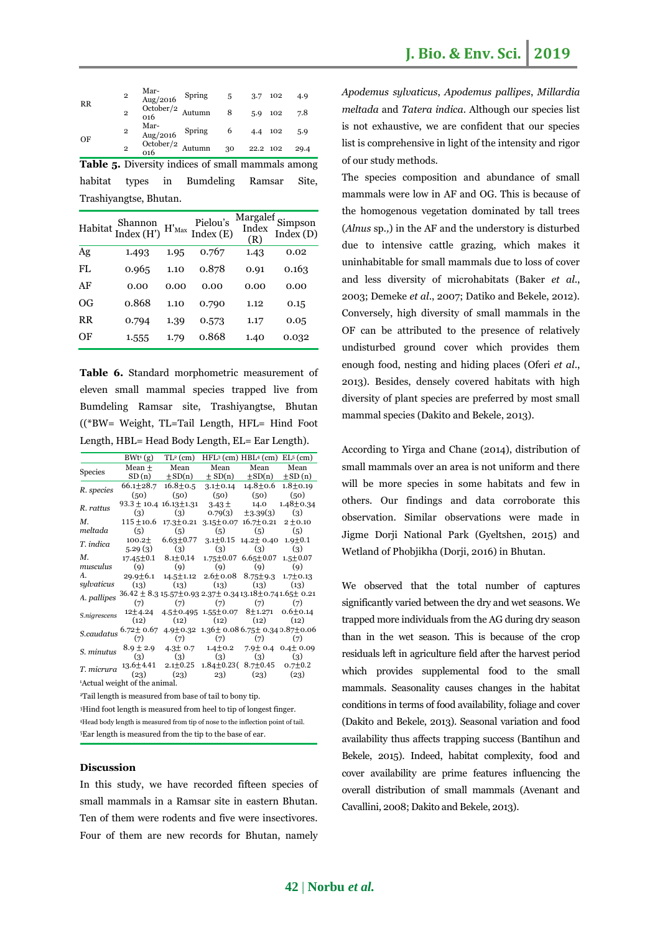| $\overline{2}$<br>$_{RR}$<br>$\overline{2}$              |                | Mar-<br>$\frac{\text{Area}}{\text{Aug}/2016}$ | Spring 5 |    |          | 3.7 102 | 4.9   |
|----------------------------------------------------------|----------------|-----------------------------------------------|----------|----|----------|---------|-------|
|                                                          |                | October/2<br>016                              | Autumn   | 8  |          | 5.9 102 | 7.8   |
|                                                          | $\overline{2}$ | Mar-<br>Aug/2016                              | Spring   | 6  | 4.4 102  |         | 5.9   |
| OF                                                       | $\overline{2}$ | October/2 $_{\text{Autumn}}$<br>016           |          | 30 | 22.2 102 |         | 29.4  |
| <b>Table 5.</b> Diversity indices of small mammals among |                |                                               |          |    |          |         |       |
| habitat                                                  |                | types in Bumdeling Ramsar                     |          |    |          |         | Site, |
| Trashiyangtse, Bhutan.                                   |                |                                               |          |    |          |         |       |

|     | Habitat Shannon<br>Index (H') H'Max |      | Pielou's<br>Index (E) | Margalef<br>Index<br>(R) | Simpson<br>Index (D) |
|-----|-------------------------------------|------|-----------------------|--------------------------|----------------------|
| Ag  | 1.493                               | 1.95 | 0.767                 | 1.43                     | 0.02                 |
| FL. | 0.965                               | 1.10 | 0.878                 | 0.91                     | 0.163                |
| AF  | 0.00                                | 0.00 | 0.00                  | 0.00                     | 0.00                 |
| OG  | 0.868                               | 1.10 | 0.790                 | 1.12                     | 0.15                 |
| RR  | 0.794                               | 1.39 | 0.573                 | 1.17                     | 0.05                 |
| ΟF  | 1.555                               | 1.79 | 0.868                 | 1.40                     | 0.032                |

**Table 6.** Standard morphometric measurement of eleven small mammal species trapped live from Bumdeling Ramsar site, Trashiyangtse, Bhutan ((\*BW= Weight, TL=Tail Length, HFL= Hind Foot Length, HBL= Head Body Length, EL= Ear Length).

|                                                                     |                                                                                                                                                                                            |  | $BWt^{1}(g)$ TL <sup>2</sup> (cm) HFL <sup>3</sup> (cm) HBL <sup>4</sup> (cm) EL <sup>5</sup> (cm) |  |      |  |  |
|---------------------------------------------------------------------|--------------------------------------------------------------------------------------------------------------------------------------------------------------------------------------------|--|----------------------------------------------------------------------------------------------------|--|------|--|--|
|                                                                     |                                                                                                                                                                                            |  | Mean ± Mean Mean Mean                                                                              |  | Mean |  |  |
| Species                                                             |                                                                                                                                                                                            |  | SD(n) $\pm$ SD(n) $\pm$ SD(n) $\pm$ SD(n) $\pm$ SD(n)                                              |  |      |  |  |
| R. species                                                          |                                                                                                                                                                                            |  | $66.1 \pm 28.7$ $16.8 \pm 0.5$ $3.1 \pm 0.14$ $14.8 \pm 0.6$ $1.8 \pm 0.19$                        |  |      |  |  |
|                                                                     |                                                                                                                                                                                            |  | $(50)$ $(50)$ $(50)$ $(50)$ $(50)$                                                                 |  |      |  |  |
| R. rattus                                                           | $93.3 \pm 10.4$ 16.13 $\pm$ 1.31 3.43 $\pm$ 14.0 1.48 $\pm$ 0.34                                                                                                                           |  |                                                                                                    |  |      |  |  |
|                                                                     | (3)                                                                                                                                                                                        |  | (3) $0.79(3) \quad \pm 3.39(3) \quad (3)$                                                          |  |      |  |  |
| $M$ .                                                               |                                                                                                                                                                                            |  | $115 \pm 10.6 \quad 17.3 \pm 0.21 \quad 3.15 \pm 0.07 \quad 16.7 \pm 0.21 \quad 2 \pm 0.10$        |  |      |  |  |
|                                                                     | meltada (5) (5) (5) (5) (5)                                                                                                                                                                |  |                                                                                                    |  |      |  |  |
|                                                                     | T. indica $100.2 \pm 6.63 \pm 0.77$ $3.1 \pm 0.15$ $14.2 \pm 0.40$ $1.9 \pm 0.1$                                                                                                           |  |                                                                                                    |  |      |  |  |
|                                                                     | $5.29(3)$ (3) (3) (3) (3)                                                                                                                                                                  |  |                                                                                                    |  |      |  |  |
|                                                                     | M. $17.45 \pm 0.1$ $8.1 \pm 0.14$ $1.75 \pm 0.07$ $6.65 \pm 0.07$ $1.5 \pm 0.07$                                                                                                           |  |                                                                                                    |  |      |  |  |
|                                                                     | musculus (9) (9) (9) (9) (9)                                                                                                                                                               |  |                                                                                                    |  |      |  |  |
|                                                                     | A. $29.9\pm 6.1$ $14.5\pm 1.12$ $2.6\pm 0.08$ $8.75\pm 9.3$ $1.7\pm 0.13$                                                                                                                  |  |                                                                                                    |  |      |  |  |
|                                                                     | sylvaticus (13) (13) (13) (13) (13)                                                                                                                                                        |  |                                                                                                    |  |      |  |  |
|                                                                     | A. pallipes $36.42 \pm 8.315.57 \pm 0.932.37 \pm 0.3413.18 \pm 0.741.65 \pm 0.21$<br>(7) (7) (7) (7) (7)                                                                                   |  |                                                                                                    |  |      |  |  |
|                                                                     |                                                                                                                                                                                            |  |                                                                                                    |  |      |  |  |
|                                                                     | S.nigrescens $12\pm4.24$ 4.5 $\pm$ 0.495 1.55 $\pm$ 0.07 8 $\pm$ 1.271 0.6 $\pm$ 0.14                                                                                                      |  |                                                                                                    |  |      |  |  |
|                                                                     |                                                                                                                                                                                            |  | $(12)$ $(12)$ $(12)$ $(12)$ $(12)$ $(12)$                                                          |  |      |  |  |
|                                                                     | $\begin{array}{ccc} S. caudatus \begin{array}{ccc} 6.72 \pm 0.67 & 4.9 \pm 0.32 & 1.36 \pm 0.08 & 6.75 \pm 0.34 & 0.87 \pm 0.06 \\ (7) & (7) & (7) & (7) \end{array} \end{array}$          |  |                                                                                                    |  |      |  |  |
|                                                                     |                                                                                                                                                                                            |  |                                                                                                    |  |      |  |  |
|                                                                     | S. minutus $8.9 \pm 2.9$ $4.3 \pm 0.7$ $1.4 \pm 0.2$ $7.9 \pm 0.4$ $0.4 \pm 0.09$                                                                                                          |  |                                                                                                    |  |      |  |  |
|                                                                     |                                                                                                                                                                                            |  | (3) (3) (3) (3) (3)                                                                                |  |      |  |  |
|                                                                     | $\begin{array}{cccccc} T.\,micrura & 13.6 {\pm} 4.41 & 2.1 {\pm} 0.25 & 1.84 {\pm} 0.23 ( & 8.7 {\pm} 0.45 & 0.7 {\pm} 0.2 \\ & & (23) & & (23) & & (23) & & (23) & & (23) \\ \end{array}$ |  |                                                                                                    |  |      |  |  |
|                                                                     |                                                                                                                                                                                            |  |                                                                                                    |  |      |  |  |
|                                                                     | Actual weight of the animal.                                                                                                                                                               |  |                                                                                                    |  |      |  |  |
| <sup>2</sup> Tail length is measured from base of tail to bony tip. |                                                                                                                                                                                            |  |                                                                                                    |  |      |  |  |

<sup>3</sup>Hind foot length is measured from heel to tip of longest finger. <sup>4</sup>Head body length is measured from tip of nose to the inflection point of tail. <sup>5</sup>Ear length is measured from the tip to the base of ear.

#### **Discussion**

In this study, we have recorded fifteen species of small mammals in a Ramsar site in eastern Bhutan. Ten of them were rodents and five were insectivores. Four of them are new records for Bhutan, namely *Apodemus sylvaticus*, *Apodemus pallipes*, *Millardia meltada* and *Tatera indica*. Although our species list is not exhaustive, we are confident that our species list is comprehensive in light of the intensity and rigor of our study methods.

The species composition and abundance of small mammals were low in AF and OG. This is because of the homogenous vegetation dominated by tall trees (*Alnus* sp*.,*) in the AF and the understory is disturbed due to intensive cattle grazing, which makes it uninhabitable for small mammals due to loss of cover and less diversity of microhabitats (Baker *et al*., 2003; Demeke *et al*., 2007; Datiko and Bekele, 2012). Conversely, high diversity of small mammals in the OF can be attributed to the presence of relatively undisturbed ground cover which provides them enough food, nesting and hiding places (Oferi *et al*., 2013). Besides, densely covered habitats with high diversity of plant species are preferred by most small mammal species (Dakito and Bekele, 2013).

According to Yirga and Chane (2014), distribution of small mammals over an area is not uniform and there will be more species in some habitats and few in others. Our findings and data corroborate this observation. Similar observations were made in Jigme Dorji National Park (Gyeltshen, 2015) and Wetland of Phobjikha (Dorji, 2016) in Bhutan.

We observed that the total number of captures significantly varied between the dry and wet seasons. We trapped more individuals from the AG during dry season than in the wet season. This is because of the crop residuals left in agriculture field after the harvest period which provides supplemental food to the small mammals. Seasonality causes changes in the habitat conditions in terms of food availability, foliage and cover (Dakito and Bekele, 2013). Seasonal variation and food availability thus affects trapping success (Bantihun and Bekele, 2015). Indeed, habitat complexity, food and cover availability are prime features influencing the overall distribution of small mammals (Avenant and Cavallini, 2008; Dakito and Bekele, 2013).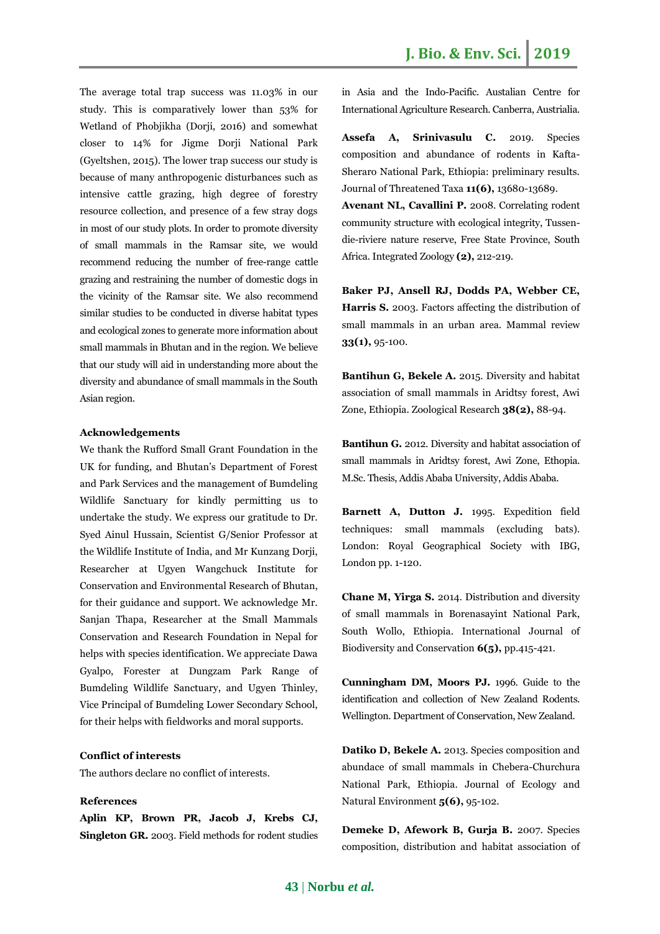The average total trap success was 11.03% in our study. This is comparatively lower than 53% for Wetland of Phobjikha (Dorji, 2016) and somewhat closer to 14% for Jigme Dorii National Park (Gyeltshen, 2015). The lower trap success our study is because of many anthropogenic disturbances such as intensive cattle grazing, high degree of forestry resource collection, and presence of a few stray dogs in most of our study plots. In order to promote diversity of small mammals in the Ramsar site, we would recommend reducing the number of free-range cattle grazing and restraining the number of domestic dogs in the vicinity of the Ramsar site. We also recommend similar studies to be conducted in diverse habitat types and ecological zones to generate more information about small mammals in Bhutan and in the region. We believe that our study will aid in understanding more about the diversity and abundance of small mammals in the South Asian region.

### **Acknowledgements**

We thank the Rufford Small Grant Foundation in the UK for funding, and Bhutan's Department of Forest and Park Services and the management of Bumdeling Wildlife Sanctuary for kindly permitting us to undertake the study. We express our gratitude to Dr. Syed Ainul Hussain, Scientist G/Senior Professor at the Wildlife Institute of India, and Mr Kunzang Dorji, Researcher at Ugyen Wangchuck Institute for Conservation and Environmental Research of Bhutan, for their guidance and support. We acknowledge Mr. Sanjan Thapa, Researcher at the Small Mammals Conservation and Research Foundation in Nepal for helps with species identification. We appreciate Dawa Gyalpo, Forester at Dungzam Park Range of Bumdeling Wildlife Sanctuary, and Ugyen Thinley, Vice Principal of Bumdeling Lower Secondary School, for their helps with fieldworks and moral supports.

#### **Conflict of interests**

The authors declare no conflict of interests.

# **References**

**Aplin KP, Brown PR, Jacob J, Krebs CJ, Singleton GR.** 2003. Field methods for rodent studies in Asia and the Indo-Pacific*.* Austalian Centre for International Agriculture Research. Canberra, Austrialia.

**Assefa A, Srinivasulu C.** 2019. Species composition and abundance of rodents in Kafta-Sheraro National Park, Ethiopia: preliminary results. Journal of Threatened Taxa **11(6),** 13680-13689.

**Avenant NL, Cavallini P.** 2008. Correlating rodent community structure with ecological integrity, Tussendie-riviere nature reserve, Free State Province, South Africa. Integrated Zoology **(2),** 212-219.

**Baker PJ, Ansell RJ, Dodds PA, Webber CE, Harris S.** 2003. Factors affecting the distribution of small mammals in an urban area. Mammal review **33(1),** 95-100.

**Bantihun G, Bekele A.** 2015. Diversity and habitat association of small mammals in Aridtsy forest, Awi Zone, Ethiopia. Zoological Research **38(2),** 88-94.

**Bantihun G.** 2012. Diversity and habitat association of small mammals in Aridtsy forest, Awi Zone, Ethopia. M.Sc. Thesis, Addis Ababa University, Addis Ababa.

**Barnett A, Dutton J.** 1995. Expedition field techniques: small mammals (excluding bats). London: Royal Geographical Society with IBG, London pp. 1-120.

**Chane M, Yirga S.** 2014. Distribution and diversity of small mammals in Borenasayint National Park, South Wollo, Ethiopia. International Journal of Biodiversity and Conservation **6(5),** pp.415-421.

**Cunningham DM, Moors PJ.** 1996. Guide to the identification and collection of New Zealand Rodents. Wellington. Department of Conservation, New Zealand.

**Datiko D, Bekele A.** 2013. Species composition and abundace of small mammals in Chebera-Churchura National Park, Ethiopia. Journal of Ecology and Natural Environment **5(6),** 95-102.

**Demeke D, Afework B, Gurja B.** 2007. Species composition, distribution and habitat association of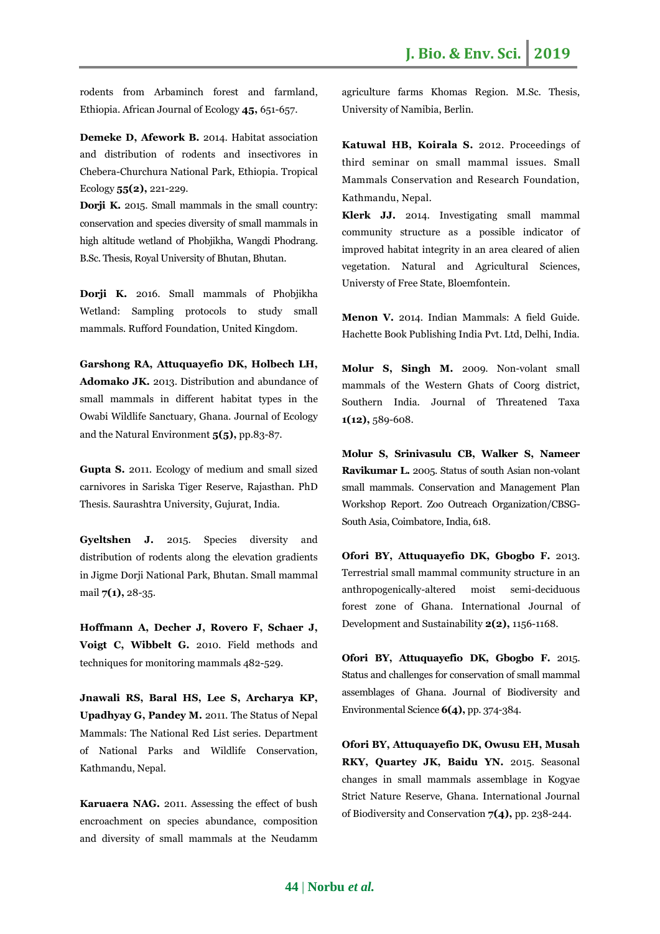rodents from Arbaminch forest and farmland, Ethiopia. African Journal of Ecology **45,** 651-657.

**Demeke D, Afework B.** 2014. Habitat association and distribution of rodents and insectivores in Chebera-Churchura National Park, Ethiopia. Tropical Ecology **55(2),** 221-229.

**Dorji K.** 2015. Small mammals in the small country: conservation and species diversity of small mammals in high altitude wetland of Phobjikha, Wangdi Phodrang. B.Sc. Thesis, Royal University of Bhutan, Bhutan.

**Dorji K.** 2016. Small mammals of Phobjikha Wetland: Sampling protocols to study small mammals*.* Rufford Foundation, United Kingdom.

**Garshong RA, Attuquayefio DK, Holbech LH, Adomako JK.** 2013. Distribution and abundance of small mammals in different habitat types in the Owabi Wildlife Sanctuary, Ghana. Journal of Ecology and the Natural Environment **5(5),** pp.83-87.

**Gupta S.** 2011. Ecology of medium and small sized carnivores in Sariska Tiger Reserve, Rajasthan. PhD Thesis. Saurashtra University, Gujurat, India.

**Gyeltshen J.** 2015. Species diversity and distribution of rodents along the elevation gradients in Jigme Dorji National Park, Bhutan. Small mammal mail **7(1),** 28-35.

**Hoffmann A, Decher J, Rovero F, Schaer J, Voigt C, Wibbelt G.** 2010. Field methods and techniques for monitoring mammals 482-529.

**Jnawali RS, Baral HS, Lee S, Archarya KP, Upadhyay G, Pandey M.** 2011. The Status of Nepal Mammals: The National Red List series*.* Department of National Parks and Wildlife Conservation, Kathmandu, Nepal.

**Karuaera NAG.** 2011. Assessing the effect of bush encroachment on species abundance, composition and diversity of small mammals at the Neudamm agriculture farms Khomas Region. M.Sc. Thesis, University of Namibia, Berlin.

**Katuwal HB, Koirala S.** 2012. Proceedings of third seminar on small mammal issues. Small Mammals Conservation and Research Foundation, Kathmandu, Nepal.

**Klerk JJ.** 2014. Investigating small mammal community structure as a possible indicator of improved habitat integrity in an area cleared of alien vegetation. Natural and Agricultural Sciences, Universty of Free State, Bloemfontein.

**Menon V.** 2014. Indian Mammals: A field Guide*.* Hachette Book Publishing India Pvt. Ltd, Delhi, India.

**Molur S, Singh M.** 2009. Non-volant small mammals of the Western Ghats of Coorg district, Southern India. Journal of Threatened Taxa **1(12),** 589-608.

**Molur S, Srinivasulu CB, Walker S, Nameer Ravikumar L.** 2005. Status of south Asian non-volant small mammals. Conservation and Management Plan Workshop Report. Zoo Outreach Organization/CBSG-South Asia, Coimbatore, India, 618.

**Ofori BY, Attuquayefio DK, Gbogbo F.** 2013. Terrestrial small mammal community structure in an anthropogenically-altered moist semi-deciduous forest zone of Ghana. International Journal of Development and Sustainability **2(2),** 1156-1168.

**Ofori BY, Attuquayefio DK, Gbogbo F.** 2015. Status and challenges for conservation of small mammal assemblages of Ghana. Journal of Biodiversity and Environmental Science **6(4),** pp. 374-384.

**Ofori BY, Attuquayefio DK, Owusu EH, Musah RKY, Quartey JK, Baidu YN.** 2015. Seasonal changes in small mammals assemblage in Kogyae Strict Nature Reserve, Ghana. International Journal of Biodiversity and Conservation **7(4),** pp. 238-244.